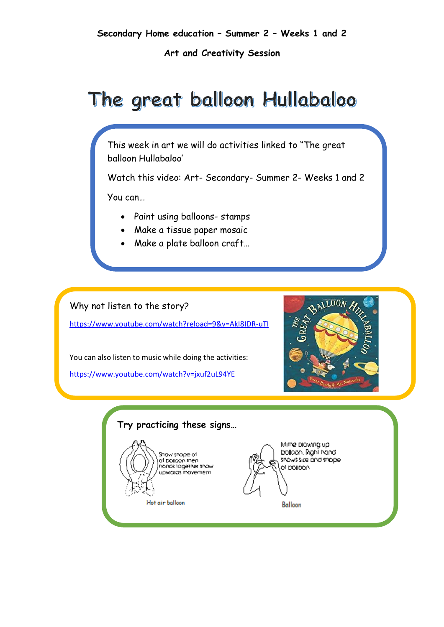**Art and Creativity Session**

# The great balloon Hullabaloo

This week in art we will do activities linked to "The great balloon Hullabaloo'

Watch this video: Art- Secondary- Summer 2- Weeks 1 and 2

You can…

- Paint using balloons- stamps
- Make a tissue paper mosaic
- Make a plate balloon craft…

## Why not listen to the story?

<https://www.youtube.com/watch?reload=9&v=AkI8IDR-uTI>

You can also listen to music while doing the activities:

<https://www.youtube.com/watch?v=jxuf2uL94YE>



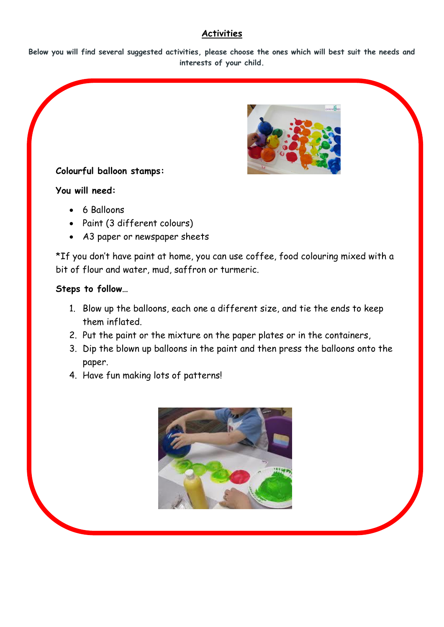# **Activities**

**Below you will find several suggested activities, please choose the ones which will best suit the needs and interests of your child.**



# **Colourful balloon stamps:**

## **You will need:**

- 6 Balloons
- Paint (3 different colours)
- A3 paper or newspaper sheets

\*If you don't have paint at home, you can use coffee, food colouring mixed with a bit of flour and water, mud, saffron or turmeric.

## **Steps to follow…**

- 1. Blow up the balloons, each one a different size, and tie the ends to keep them inflated.
- 2. Put the paint or the mixture on the paper plates or in the containers,
- 3. Dip the blown up balloons in the paint and then press the balloons onto the paper.
- 4. Have fun making lots of patterns!

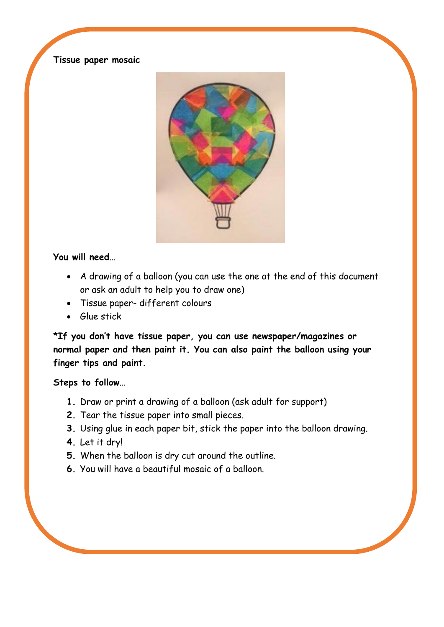## **Tissue paper mosaic**



## **You will need…**

- A drawing of a balloon (you can use the one at the end of this document or ask an adult to help you to draw one)
- Tissue paper- different colours
- Glue stick

**\*If you don't have tissue paper, you can use newspaper/magazines or normal paper and then paint it. You can also paint the balloon using your finger tips and paint.** 

# **Steps to follow…**

- **1.** Draw or print a drawing of a balloon (ask adult for support)
- **2.** Tear the tissue paper into small pieces.
- **3.** Using glue in each paper bit, stick the paper into the balloon drawing.
- **4.** Let it dry!
- **5.** When the balloon is dry cut around the outline.
- **6.** You will have a beautiful mosaic of a balloon.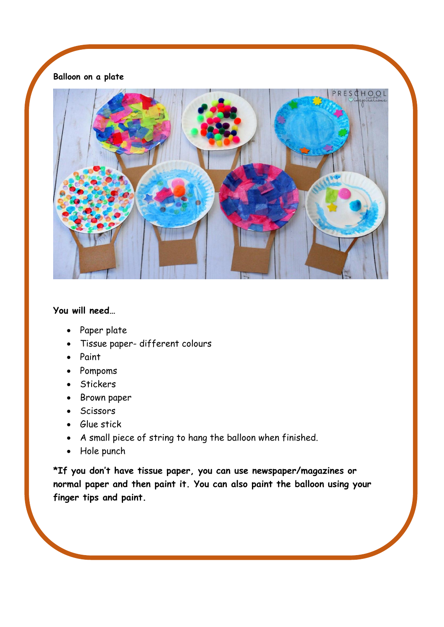# **Balloon on a plate**



## **You will need…**

- Paper plate
- Tissue paper- different colours
- Paint
- Pompoms
- Stickers
- Brown paper
- Scissors
- Glue stick
- A small piece of string to hang the balloon when finished.
- Hole punch

**\*If you don't have tissue paper, you can use newspaper/magazines or normal paper and then paint it. You can also paint the balloon using your finger tips and paint.**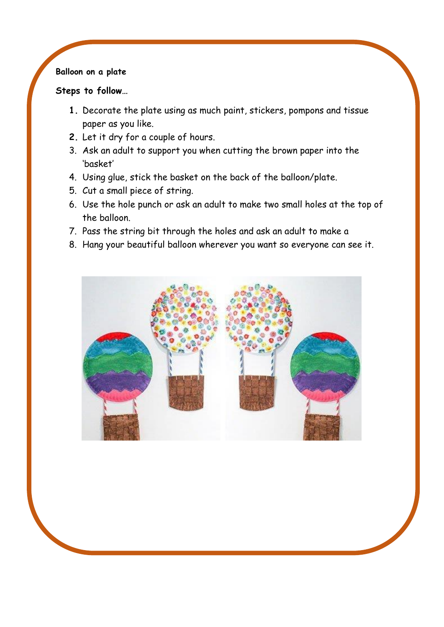# **Balloon on a plate**

## **Steps to follow…**

- **1.** Decorate the plate using as much paint, stickers, pompons and tissue paper as you like.
- **2.** Let it dry for a couple of hours.
- 3. Ask an adult to support you when cutting the brown paper into the 'basket'
- 4. Using glue, stick the basket on the back of the balloon/plate.
- 5. Cut a small piece of string.
- 6. Use the hole punch or ask an adult to make two small holes at the top of the balloon.
- 7. Pass the string bit through the holes and ask an adult to make a
- 8. Hang your beautiful balloon wherever you want so everyone can see it.

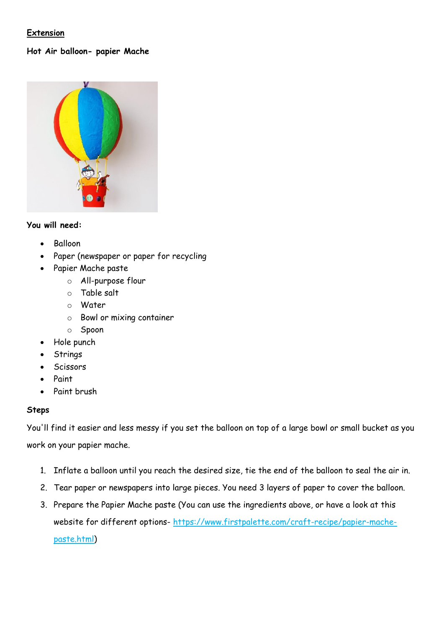## **Extension**

## **Hot Air balloon- papier Mache**



#### **You will need:**

- Balloon
- Paper (newspaper or paper for recycling
- Papier Mache paste
	- o All-purpose flour
	- o Table salt
	- o Water
	- o Bowl or mixing container
	- o Spoon
- Hole punch
- Strings
- **Scissors**
- Paint
- Paint brush

#### **Steps**

You'll find it easier and less messy if you set the balloon on top of a large bowl or small bucket as you work on your papier mache.

- 1. Inflate a balloon until you reach the desired size, tie the end of the balloon to seal the air in.
- 2. Tear paper or newspapers into large pieces. You need 3 layers of paper to cover the balloon.
- 3. Prepare the Papier Mache paste (You can use the ingredients above, or have a look at this website for different options- [https://www.firstpalette.com/craft-recipe/papier-mache](https://www.firstpalette.com/craft-recipe/papier-mache-paste.html)[paste.html\)](https://www.firstpalette.com/craft-recipe/papier-mache-paste.html)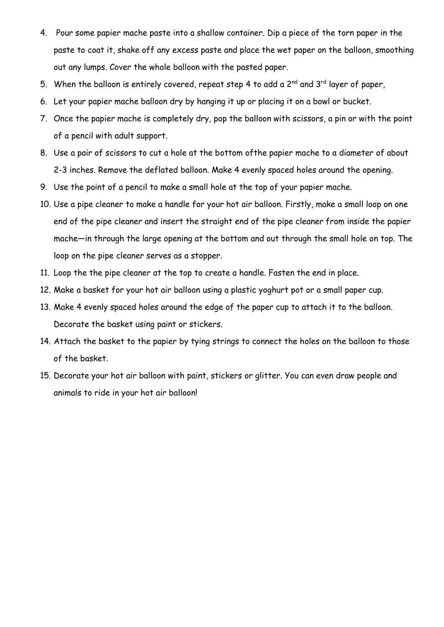- 4. Pour some papier mache paste into a shallow container. Dip a piece of the torn paper in the paste to coat it, shake off any excess paste and place the wet paper on the balloon, smoothing out any lumps. Cover the whole balloon with the pasted paper.
- 5. When the balloon is entirely covered, repeat step 4 to add a  $2^{nd}$  and  $3^{rd}$  layer of paper,
- 6. Let your papier mache balloon dry by hanging it up or placing it on a bowl or bucket.
- 7. Once the papier mache is completely dry, pop the balloon with scissors, a pin or with the point of a pencil with adult support.
- 8. Use a pair of scissors to cut a hole at the bottom ofthe papier mache to a diameter of about 2-3 inches. Remove the deflated balloon. Make 4 evenly spaced holes around the opening.
- 9. Use the point of a pencil to make a small hole at the top of your papier mache.
- 10. Use a pipe cleaner to make a handle for your hot air balloon. Firstly, make a small loop on one end of the pipe cleaner and insert the straight end of the pipe cleaner from inside the papier mache—in through the large opening at the bottom and out through the small hole on top. The loop on the pipe cleaner serves as a stopper.
- 11. Loop the the pipe cleaner at the top to create a handle. Fasten the end in place.
- 12. Make a basket for your hot air balloon using a plastic yoghurt pot or a small paper cup.
- 13. Make 4 evenly spaced holes around the edge of the paper cup to attach it to the balloon. Decorate the basket using paint or stickers.
- 14. Attach the basket to the papier by tying strings to connect the holes on the balloon to those of the basket.
- 15. Decorate your hot air balloon with paint, stickers or glitter. You can even draw people and animals to ride in your hot air balloon!